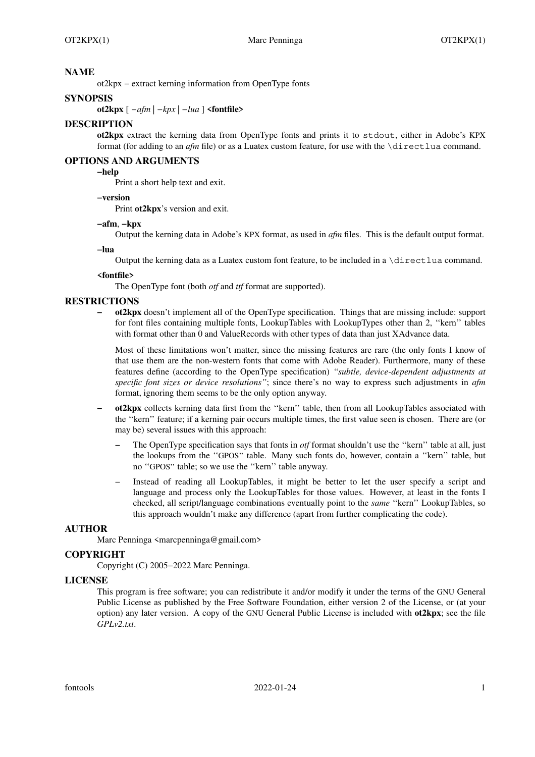### **NAME**

ot2kpx − extract kerning information from OpenType fonts

### **SYNOPSIS**

**ot2kpx** [ *−afm* | *−kpx* | *−lua* ] **<fontfile>**

#### **DESCRIPTION**

**ot2kpx** extract the kerning data from OpenType fonts and prints it to stdout, either in Adobe's KPX format (for adding to an *afm* file) or as a Luatex custom feature, for use with the \directlua command.

#### **OPTIONS AND ARGUMENTS**

# **−help**

Print a short help text and exit.

#### **−version**

Print **ot2kpx**'s version and exit.

#### **−afm**, **−kpx**

Output the kerning data in Adobe's KPX format, as used in *afm* files. This is the default output format.

**−lua**

Output the kerning data as a Luatex custom font feature, to be included in a \directlua command.

#### **<fontfile>**

The OpenType font (both *otf* and *ttf* format are supported).

#### **RESTRICTIONS**

**− ot2kpx** doesn't implement all of the OpenType specification. Things that are missing include: support for font files containing multiple fonts, LookupTables with LookupTypes other than 2, ''kern'' tables with format other than 0 and ValueRecords with other types of data than just XAdvance data.

Most of these limitations won't matter, since the missing features are rare (the only fonts I know of that use them are the non-western fonts that come with Adobe Reader). Furthermore, many of these features define (according to the OpenType specification) *''subtle, device-dependent adjustments at specific font sizes or device resolutions''*; since there's no way to express such adjustments in *afm* format, ignoring them seems to be the only option anyway.

- **− ot2kpx** collects kerning data first from the ''kern'' table, then from all LookupTables associated with the ''kern'' feature; if a kerning pair occurs multiple times, the first value seen is chosen. There are (or may be) several issues with this approach:
	- − The OpenType specification says that fonts in *otf* format shouldn't use the ''kern'' table at all, just the lookups from the ''GPOS'' table. Many such fonts do, however, contain a ''kern'' table, but no ''GPOS'' table; so we use the ''kern'' table anyway.
	- − Instead of reading all LookupTables, it might be better to let the user specify a script and language and process only the LookupTables for those values. However, at least in the fonts I checked, all script/language combinations eventually point to the *same* ''kern'' LookupTables, so this approach wouldn't make any difference (apart from further complicating the code).

#### **AUTHOR**

Marc Penninga <marcpenninga@gmail.com>

## **COPYRIGHT**

Copyright (C) 2005−2022 Marc Penninga.

#### **LICENSE**

This program is free software; you can redistribute it and/or modify it under the terms of the GNU General Public License as published by the Free Software Foundation, either version 2 of the License, or (at your option) any later version. A copy of the GNU General Public License is included with **ot2kpx**; see the file *GPLv2.txt*.